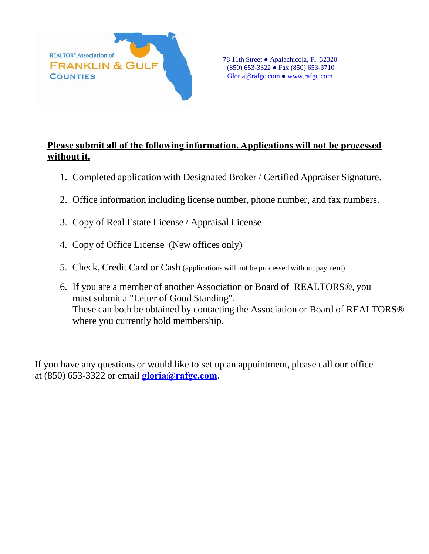

## **Please submit all of the following information. Applications will not be processed without it.**

- 1. Completed application with Designated Broker / Certified Appraiser Signature.
- 2. Office information including license number, phone number, and fax numbers.
- 3. Copy of Real Estate License / Appraisal License
- 4. Copy of Office License (New offices only)
- 5. Check, Credit Card or Cash (applications will not be processed without payment)
- 6. If you are a member of another Association or Board of REALTORS®, you must submit a "Letter of Good Standing". These can both be obtained by contacting the Association or Board of REALTORS® where you currently hold membership.

If you have any questions or would like to set up an appointment, please call our office at (850) 653-3322 or email **[gloria@rafgc.com](mailto:gloria@rafgc.com)**.